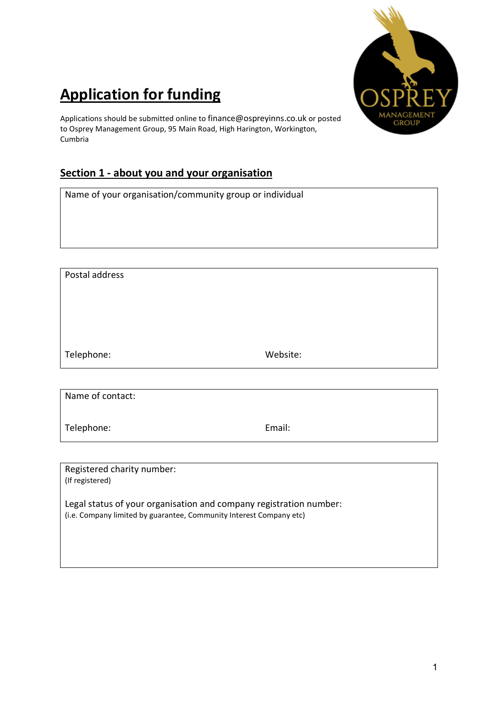

## Application for funding

Applications should be submitted online to finance@ospreyinns.co.uk or posted to Osprey Management Group, 95 Main Road, High Harington, Workington, Cumbria

## Section 1 - about you and your organisation

Name of your organisation/community group or individual

Postal address Telephone: Website:

Name of contact:

Telephone: Email:

Registered charity number: (If registered)

Legal status of your organisation and company registration number: (i.e. Company limited by guarantee, Community Interest Company etc)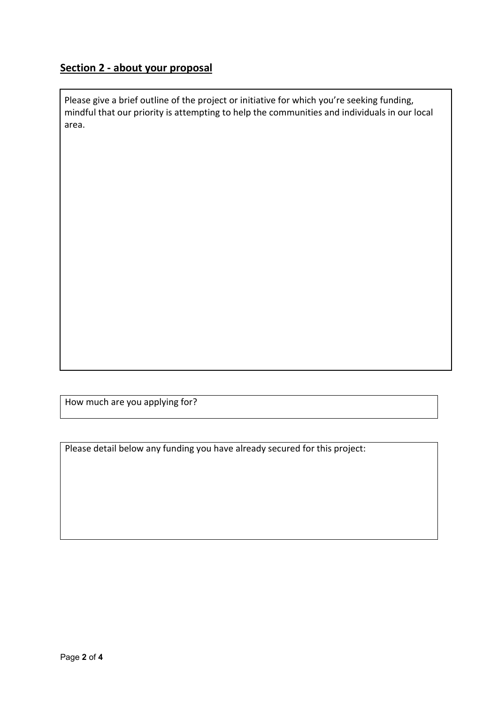## Section 2 - about your proposal

Please give a brief outline of the project or initiative for which you're seeking funding, mindful that our priority is attempting to help the communities and individuals in our local area.

How much are you applying for?

Please detail below any funding you have already secured for this project: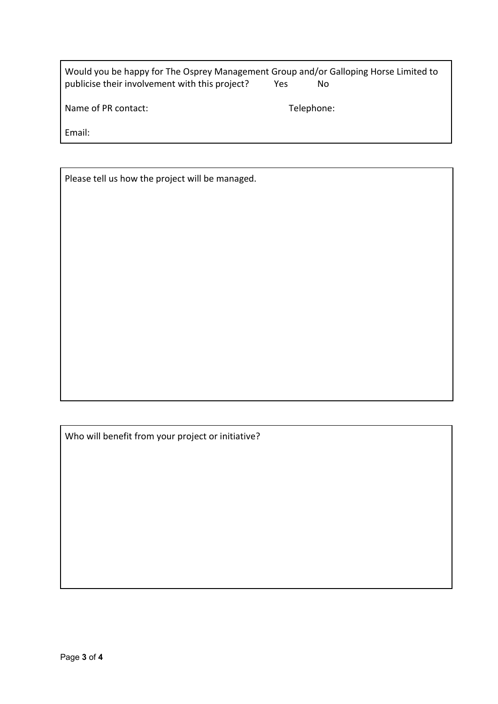| Would you be happy for The Osprey Management Group and/or Galloping Horse Limited to |     |    |
|--------------------------------------------------------------------------------------|-----|----|
| publicise their involvement with this project?                                       | Yes | Nο |

Name of PR contact: Telephone:

Email:

Please tell us how the project will be managed.

Who will benefit from your project or initiative?